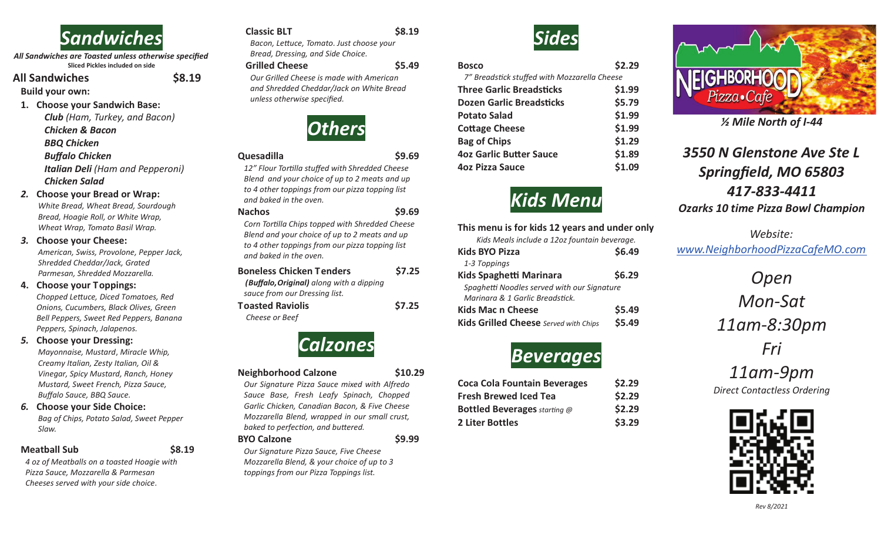

*All Sandwiches are Toasted unless otherwise specified* **Sliced Pickles included on side**

#### **All Sandwiches \$8.19**

**Build your own:**

#### **1. Choose your Sandwich Base:**

*Club (Ham, Turkey, and Bacon) Chicken & Bacon BBQ Chicken Buffalo Chicken Italian Deli (Ham and Pepperoni) Chicken Salad* 

#### *2.* **Choose your Bread or Wrap:**

*White Bread, Wheat Bread, Sourdough Bread, Hoagie Roll, or White Wrap, Wheat Wrap, Tomato Basil Wrap.* 

#### *3.* **Choose your Cheese:**

*American, Swiss, Provolone, Pepper Jack, Shredded Cheddar/Jack, Grated Parmesan, Shredded Mozzarella.*

#### **4. Choose your Toppings:**

*Chopped Leuce, Diced Tomatoes, Red Onions, Cucumbers, Black Olives, Green Bell Peppers, Sweet Red Peppers, Banana Peppers, Spinach, Jalapenos.*

#### *5.* **Choose your Dressing:**

*Mayonnaise, Mustard*, *Miracle Whip, Creamy Italian, Zesty Italian, Oil & Vinegar, Spicy Mustard, Ranch, Honey Mustard, Sweet French, Pizza Sauce, Buffalo Sauce, BBQ Sauce.*

#### *6.* **Choose your Side Choice:** *Bag of Chips, Potato Salad, Sweet Pepper Slaw.*

#### **Meatball Sub \$8.19**

*4 oz of Meatballs on a toasted Hoagie with Pizza Sauce, Mozzarella & Parmesan Cheeses served with your side choice.*

#### **Classic BLT \$8.19**

**Bacon, Lettuce, Tomato. Just choose your** *Bread, Dressing, and Side Choice.* 

#### **Grilled Cheese \$5.49**

*Our Grilled Cheese is made with American and Shredded Cheddar/Jack on White Bread unless otherwise specified.*



#### **Quesadilla \$9.69**

12" Flour Tortilla stuffed with Shredded Cheese *Blend and your choice of up to 2 meats and up to 4 other toppings from our pizza topping list and baked in the oven.* 

#### **Nachos \$9.69**

*Corn Torlla Chips topped with Shredded Cheese Blend and your choice of up to 2 meats and up to 4 other toppings from our pizza topping list and baked in the oven.* 

| <b>Boneless Chicken Tenders</b>          | \$7.25 |
|------------------------------------------|--------|
| (Buffalo, Original) along with a dipping |        |
| sauce from our Dressing list.            |        |
| <b>Toasted Raviolis</b>                  | \$7.25 |
| Cheese or Beef                           |        |



#### **Neighborhood Calzone \$10.29**

*Our Signature Pizza Sauce mixed with Alfredo Sauce Base, Fresh Leafy Spinach, Chopped Garlic Chicken, Canadian Bacon, & Five Cheese Mozzarella Blend, wrapped in our small crust, baked to perfection, and buttered.* 

#### **BYO Calzone \$9.99**

*Our Signature Pizza Sauce, Five Cheese Mozzarella Blend, & your choice of up to 3 toppings from our Pizza Toppings list.*



#### **Bosco** \$2.29 *7" Breadsck stuffed with Mozzarella Cheese* **Three Garlic Breadsticks \$1.99 Dozen Garlic Breadsticks** \$5.79 **Potato Salad \$1.99**  Cottage Cheese **\$1.99 Bag of Chips**  $\qquad$  \$1.29 **4oz Garlic Butter Sauce 51.89**

# *Kids Menu*

**4oz Pizza Sauce \$1.09** 

| This menu is for kids 12 years and under only |        |
|-----------------------------------------------|--------|
| Kids Meals include a 12oz fountain beverage.  |        |
| <b>Kids BYO Pizza</b>                         | \$6.49 |
| 1-3 Toppings                                  |        |
| <b>Kids Spaghetti Marinara</b>                | \$6.29 |
| Spaghetti Noodles served with our Signature   |        |
| Marinara & 1 Garlic Breadstick.               |        |
| <b>Kids Mac n Cheese</b>                      | \$5.49 |
| Kids Grilled Cheese Served with Chips         | \$5.49 |

## *Beverages*

| <b>Coca Cola Fountain Beverages</b> | \$2.29 |
|-------------------------------------|--------|
| <b>Fresh Brewed Iced Tea</b>        | \$2.29 |
| <b>Bottled Beverages</b> starting @ | \$2.29 |
| 2 Liter Bottles                     | \$3.29 |



*½ Mile North of I-44*

### *3550 N Glenstone Ave Ste L Springfield, MO 65803 417-833-4411 Ozarks 10 time Pizza Bowl Champion*

*Website: www.NeighborhoodPizzaCafeMO.com*

> *Open Mon-Sat 11am-8:30pm*

*Fri* 

*11am-9pm Direct Contactless Ordering*